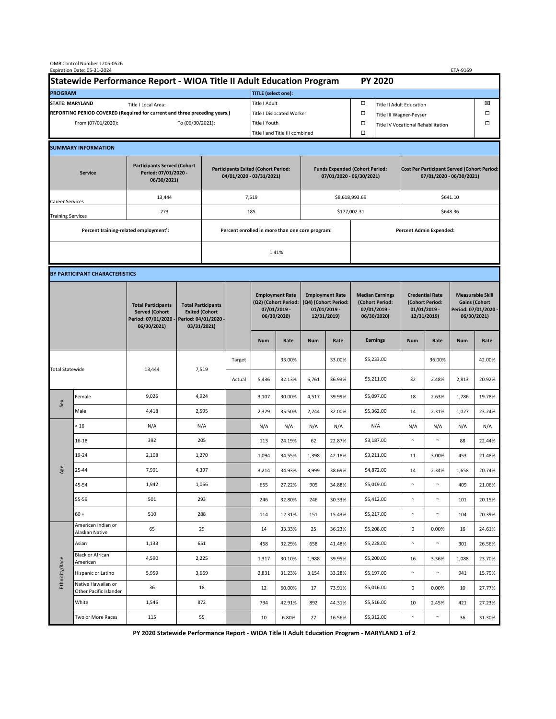|                                                                                             | OMB Control Number 1205-0526<br>Expiration Date: 05-31-2024 |                                                                                           |                                                                                           |  |                                                                        |                                                                               |        |                                                                                 |                                                                   |                                                                            |                                    |                                                                                |        | ETA-9169                                                                               |        |  |
|---------------------------------------------------------------------------------------------|-------------------------------------------------------------|-------------------------------------------------------------------------------------------|-------------------------------------------------------------------------------------------|--|------------------------------------------------------------------------|-------------------------------------------------------------------------------|--------|---------------------------------------------------------------------------------|-------------------------------------------------------------------|----------------------------------------------------------------------------|------------------------------------|--------------------------------------------------------------------------------|--------|----------------------------------------------------------------------------------------|--------|--|
| Statewide Performance Report - WIOA Title II Adult Education Program                        |                                                             |                                                                                           |                                                                                           |  |                                                                        |                                                                               |        |                                                                                 |                                                                   |                                                                            | <b>PY 2020</b>                     |                                                                                |        |                                                                                        |        |  |
| <b>PROGRAM</b>                                                                              |                                                             |                                                                                           |                                                                                           |  |                                                                        | <b>TITLE</b> (select one):                                                    |        |                                                                                 |                                                                   |                                                                            |                                    |                                                                                |        |                                                                                        |        |  |
| <b>STATE: MARYLAND</b><br>Title I Local Area:                                               |                                                             |                                                                                           |                                                                                           |  |                                                                        | Title I Adult                                                                 |        |                                                                                 |                                                                   | □<br><b>Title II Adult Education</b>                                       |                                    |                                                                                |        |                                                                                        | ⊠      |  |
| REPORTING PERIOD COVERED (Required for current and three preceding years.)                  |                                                             |                                                                                           |                                                                                           |  | Title I Dislocated Worker                                              |                                                                               |        |                                                                                 | Ω                                                                 | □<br>Title III Wagner-Peyser                                               |                                    |                                                                                |        |                                                                                        |        |  |
| From (07/01/2020):                                                                          |                                                             |                                                                                           | To (06/30/2021):                                                                          |  |                                                                        | Title I Youth                                                                 |        |                                                                                 |                                                                   | $\Box$                                                                     | Title IV Vocational Rehabilitation |                                                                                |        |                                                                                        | □      |  |
|                                                                                             |                                                             |                                                                                           |                                                                                           |  |                                                                        | Title I and Title III combined                                                |        |                                                                                 |                                                                   | Ω                                                                          |                                    |                                                                                |        |                                                                                        |        |  |
|                                                                                             | <b>SUMMARY INFORMATION</b>                                  |                                                                                           |                                                                                           |  |                                                                        |                                                                               |        |                                                                                 |                                                                   |                                                                            |                                    |                                                                                |        |                                                                                        |        |  |
| <b>Participants Served (Cohort</b><br>Period: 07/01/2020 -<br><b>Service</b><br>06/30/2021) |                                                             |                                                                                           |                                                                                           |  | <b>Participants Exited (Cohort Period:</b><br>04/01/2020 - 03/31/2021) |                                                                               |        |                                                                                 | <b>Funds Expended (Cohort Period:</b><br>07/01/2020 - 06/30/2021) |                                                                            |                                    | <b>Cost Per Participant Served (Cohort Period:</b><br>07/01/2020 - 06/30/2021) |        |                                                                                        |        |  |
| Career Services                                                                             |                                                             | 13,444                                                                                    |                                                                                           |  |                                                                        | 7,519                                                                         |        |                                                                                 |                                                                   | \$8,618,993.69                                                             |                                    | \$641.10                                                                       |        |                                                                                        |        |  |
| <b>Training Services</b>                                                                    |                                                             | 273                                                                                       |                                                                                           |  |                                                                        | 185                                                                           |        |                                                                                 |                                                                   | \$177,002.31                                                               |                                    | \$648.36                                                                       |        |                                                                                        |        |  |
|                                                                                             | Percent training-related employment <sup>1</sup> :          |                                                                                           | Percent enrolled in more than one core program:                                           |  |                                                                        |                                                                               |        |                                                                                 | <b>Percent Admin Expended:</b>                                    |                                                                            |                                    |                                                                                |        |                                                                                        |        |  |
|                                                                                             |                                                             |                                                                                           |                                                                                           |  |                                                                        |                                                                               |        |                                                                                 |                                                                   |                                                                            |                                    |                                                                                |        |                                                                                        |        |  |
|                                                                                             |                                                             |                                                                                           |                                                                                           |  |                                                                        |                                                                               | 1.41%  |                                                                                 |                                                                   |                                                                            |                                    |                                                                                |        |                                                                                        |        |  |
|                                                                                             | BY PARTICIPANT CHARACTERISTICS                              |                                                                                           |                                                                                           |  |                                                                        |                                                                               |        |                                                                                 |                                                                   |                                                                            |                                    |                                                                                |        |                                                                                        |        |  |
|                                                                                             |                                                             | <b>Total Participants</b><br><b>Served (Cohort</b><br>Period: 07/01/2020 -<br>06/30/2021) | <b>Total Participants</b><br><b>Exited (Cohort</b><br>Period: 04/01/2020 -<br>03/31/2021) |  |                                                                        | <b>Employment Rate</b><br>(Q2) (Cohort Period:<br>07/01/2019 -<br>06/30/2020) |        | <b>Employment Rate</b><br>(Q4) (Cohort Period:<br>$01/01/2019$ -<br>12/31/2019) |                                                                   | <b>Median Earnings</b><br>(Cohort Period:<br>$07/01/2019 -$<br>06/30/2020) |                                    | <b>Credential Rate</b><br>(Cohort Period:<br>$01/01/2019$ -<br>12/31/2019)     |        | <b>Measurable Skill</b><br><b>Gains (Cohort</b><br>Period: 07/01/2020 -<br>06/30/2021) |        |  |
|                                                                                             |                                                             |                                                                                           |                                                                                           |  |                                                                        | <b>Num</b>                                                                    | Rate   | <b>Num</b>                                                                      | Rate                                                              |                                                                            | <b>Earnings</b>                    | <b>Num</b>                                                                     | Rate   | <b>Num</b>                                                                             | Rate   |  |
| <b>Total Statewide</b>                                                                      |                                                             | 13,444                                                                                    | 7,519                                                                                     |  | Target                                                                 |                                                                               | 33.00% |                                                                                 | 33.00%                                                            |                                                                            | \$5,233.00                         |                                                                                | 36.00% |                                                                                        | 42.00% |  |
|                                                                                             |                                                             |                                                                                           |                                                                                           |  | Actual                                                                 | 5,436                                                                         | 32.13% | 6,761                                                                           | 36.93%                                                            |                                                                            | \$5,211.00                         | 32                                                                             | 2.48%  | 2,813                                                                                  | 20.92% |  |
| Sex                                                                                         | Female                                                      | 9,026                                                                                     | 4,924                                                                                     |  |                                                                        | 3,107                                                                         | 30.00% | 4,517                                                                           | 39.99%                                                            |                                                                            | \$5,097.00                         | 18                                                                             | 2.63%  | 1,786                                                                                  | 19.78% |  |
|                                                                                             | Male                                                        | 4,418                                                                                     | 2,595                                                                                     |  |                                                                        | 2,329                                                                         | 35.50% | 2,244                                                                           | 32.00%                                                            |                                                                            | \$5,362.00                         | 14                                                                             | 2.31%  | 1,027                                                                                  | 23.24% |  |
| Age                                                                                         | < 16                                                        | N/A                                                                                       | N/A                                                                                       |  |                                                                        | N/A                                                                           | N/A    | N/A                                                                             | N/A                                                               |                                                                            | N/A                                | N/A                                                                            | N/A    | N/A                                                                                    | N/A    |  |
|                                                                                             | $16 - 18$                                                   | 392                                                                                       | 205                                                                                       |  |                                                                        | 113                                                                           | 24.19% | 62                                                                              | 22.87%                                                            |                                                                            | \$3,187.00                         | $\sim$                                                                         | $\sim$ | 88                                                                                     | 22.44% |  |
|                                                                                             | 19-24                                                       | 2,108                                                                                     | 1,270                                                                                     |  |                                                                        | 1,094                                                                         | 34.55% | 1,398                                                                           | 42.18%                                                            |                                                                            | \$3,211.00                         | 11                                                                             | 3.00%  | 453                                                                                    | 21.48% |  |
|                                                                                             | 25-44                                                       | 7,991                                                                                     | 4,397                                                                                     |  |                                                                        | 3,214                                                                         | 34.93% | 3,999                                                                           | 38.69%                                                            |                                                                            | \$4,872.00                         | 14                                                                             | 2.34%  | 1,658                                                                                  | 20.74% |  |
|                                                                                             | 45-54                                                       | 1,942                                                                                     | 1,066                                                                                     |  |                                                                        | 655                                                                           | 27.22% | 905                                                                             | 34.88%                                                            |                                                                            | \$5,019.00                         | $\sim$                                                                         | $\sim$ | 409                                                                                    | 21.06% |  |
|                                                                                             | 55-59                                                       | 501                                                                                       | 293                                                                                       |  |                                                                        | 246                                                                           | 32.80% | 246                                                                             | 30.33%                                                            |                                                                            | \$5,412.00                         | $\sim$                                                                         | $\sim$ | 101                                                                                    | 20.15% |  |
|                                                                                             | $60 +$                                                      | 510                                                                                       | 288                                                                                       |  |                                                                        | 114                                                                           | 12.31% | 151                                                                             | 15.43%                                                            |                                                                            | \$5,217.00                         | $\sim$                                                                         | $\sim$ | 104                                                                                    | 20.39% |  |
| Ethnicity/Race                                                                              | American Indian or<br>Alaskan Native                        | 65                                                                                        | 29                                                                                        |  |                                                                        | 14                                                                            | 33.33% | 25                                                                              | 36.23%                                                            |                                                                            | \$5,208.00                         | 0                                                                              | 0.00%  | 16                                                                                     | 24.61% |  |
|                                                                                             | Asian                                                       | 1,133                                                                                     | 651                                                                                       |  |                                                                        | 458                                                                           | 32.29% | 658                                                                             | 41.48%                                                            |                                                                            | \$5,228.00                         | $\sim$                                                                         | $\sim$ | 301                                                                                    | 26.56% |  |
|                                                                                             | Black or African<br>American                                | 4,590                                                                                     | 2,225                                                                                     |  |                                                                        | 1,317                                                                         | 30.10% | 1,988                                                                           | 39.95%                                                            |                                                                            | \$5,200.00                         | 16                                                                             | 3.36%  | 1,088                                                                                  | 23.70% |  |
|                                                                                             | Hispanic or Latino                                          | 5,959                                                                                     | 3,669                                                                                     |  |                                                                        | 2,831                                                                         | 31.23% | 3,154                                                                           | 33.28%                                                            |                                                                            | \$5,197.00                         | $\sim$                                                                         | $\sim$ | 941                                                                                    | 15.79% |  |
|                                                                                             | Native Hawaiian or<br>Other Pacific Islander                | 36                                                                                        | 18                                                                                        |  |                                                                        | 12                                                                            | 60.00% | 17                                                                              | 73.91%                                                            |                                                                            | \$5,016.00                         | $\mathbf 0$                                                                    | 0.00%  | 10                                                                                     | 27.77% |  |
|                                                                                             | White                                                       | 1,546                                                                                     | 872                                                                                       |  |                                                                        | 794                                                                           | 42.91% | 892                                                                             | 44.31%                                                            |                                                                            | \$5,516.00                         | 10                                                                             | 2.45%  | 421                                                                                    | 27.23% |  |
|                                                                                             | Two or More Races                                           | 115                                                                                       | 55                                                                                        |  |                                                                        | 10                                                                            | 6.80%  | 27                                                                              | 16.56%                                                            |                                                                            | \$5,312.00                         | $\sim$                                                                         | $\sim$ | 36                                                                                     | 31.30% |  |

**PY 2020 Statewide Performance Report - WIOA Title II Adult Education Program - MARYLAND 1 of 2**